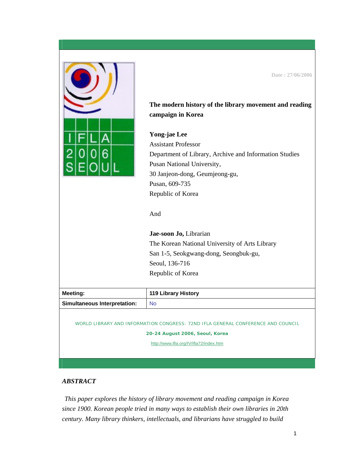

**The modern history of the library movement and reading** 

**Date : 27/06/2006** 

**campaign in Korea** 

## **Yong-jae Lee**

Assistant Professor Department of Library, Archive and Information Studies Pusan National University, 30 Janjeon-dong, Geumjeong-gu, Pusan, 609-735 Republic of Korea

And

**Jae-soon Jo,** Librarian The Korean National University of Arts Library San 1-5, Seokgwang-dong, Seongbuk-gu, Seoul, 136-716 Republic of Korea

| <b>Meeting:</b>                     | <b>119 Library History</b> |
|-------------------------------------|----------------------------|
| <b>Simultaneous Interpretation:</b> | No                         |
|                                     |                            |

WORLD LIBRARY AND INFORMATION CONGRESS: 72ND IFLA GENERAL CONFERENCE AND COUNCIL

**20-24 August 2006, Seoul, Korea** 

<http://www.ifla.org/IV/ifla72/index.htm>

## *ABSTRACT*

*This paper explores the history of library movement and reading campaign in Korea since 1900. Korean people tried in many ways to establish their own libraries in 20th century. Many library thinkers, intellectuals, and librarians have struggled to build*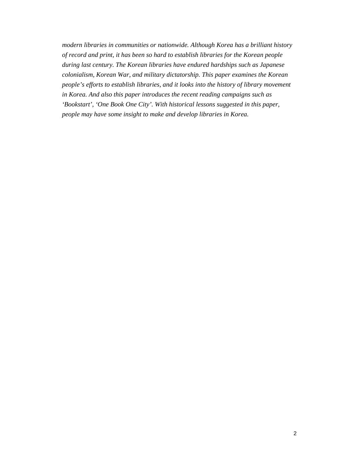*modern libraries in communities or nationwide. Although Korea has a brilliant history of record and print, it has been so hard to establish libraries for the Korean people during last century. The Korean libraries have endured hardships such as Japanese colonialism, Korean War, and military dictatorship. This paper examines the Korean people's efforts to establish libraries, and it looks into the history of library movement in Korea. And also this paper introduces the recent reading campaigns such as 'Bookstart', 'One Book One City'. With historical lessons suggested in this paper, people may have some insight to make and develop libraries in Korea.*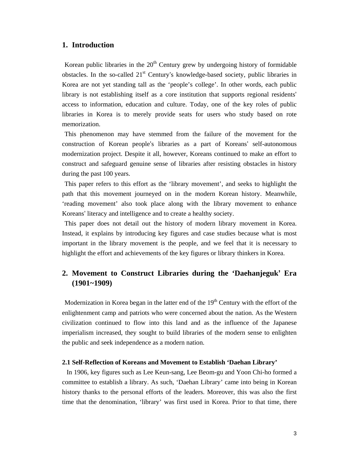## **1. Introduction**

Korean public libraries in the  $20<sup>th</sup>$  Century grew by undergoing history of formidable obstacles. In the so-called  $21<sup>st</sup>$  Century's knowledge-based society, public libraries in Korea are not yet standing tall as the 'people's college'. In other words, each public library is not establishing itself as a core institution that supports regional residents' access to information, education and culture. Today, one of the key roles of public libraries in Korea is to merely provide seats for users who study based on rote memorization.

This phenomenon may have stemmed from the failure of the movement for the construction of Korean people's libraries as a part of Koreans' self-autonomous modernization project. Despite it all, however, Koreans continued to make an effort to construct and safeguard genuine sense of libraries after resisting obstacles in history during the past 100 years.

This paper refers to this effort as the 'library movement', and seeks to highlight the path that this movement journeyed on in the modern Korean history. Meanwhile, 'reading movement' also took place along with the library movement to enhance Koreans' literacy and intelligence and to create a healthy society.

This paper does not detail out the history of modern library movement in Korea. Instead, it explains by introducing key figures and case studies because what is most important in the library movement is the people, and we feel that it is necessary to highlight the effort and achievements of the key figures or library thinkers in Korea.

# **2. Movement to Construct Libraries during the 'Daehanjeguk' Era (1901~1909)**

Modernization in Korea began in the latter end of the  $19<sup>th</sup>$  Century with the effort of the enlightenment camp and patriots who were concerned about the nation. As the Western civilization continued to flow into this land and as the influence of the Japanese imperialism increased, they sought to build libraries of the modern sense to enlighten the public and seek independence as a modern nation.

## **2.1 Self-Reflection of Koreans and Movement to Establish 'Daehan Library'**

In 1906, key figures such as Lee Keun-sang, Lee Beom-gu and Yoon Chi-ho formed a committee to establish a library. As such, 'Daehan Library' came into being in Korean history thanks to the personal efforts of the leaders. Moreover, this was also the first time that the denomination, 'library' was first used in Korea. Prior to that time, there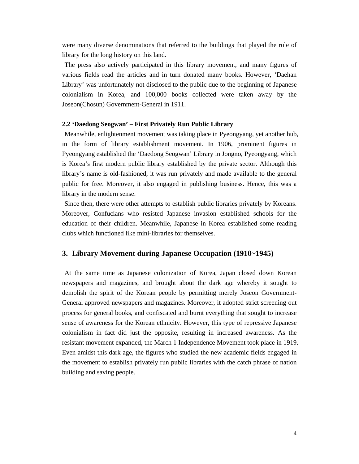were many diverse denominations that referred to the buildings that played the role of library for the long history on this land.

The press also actively participated in this library movement, and many figures of various fields read the articles and in turn donated many books. However, 'Daehan Library' was unfortunately not disclosed to the public due to the beginning of Japanese colonialism in Korea, and 100,000 books collected were taken away by the Joseon(Chosun) Government-General in 1911.

### **2.2 'Daedong Seogwan' – First Privately Run Public Library**

Meanwhile, enlightenment movement was taking place in Pyeongyang, yet another hub, in the form of library establishment movement. In 1906, prominent figures in Pyeongyang established the 'Daedong Seogwan' Library in Jongno, Pyeongyang, which is Korea's first modern public library established by the private sector. Although this library's name is old-fashioned, it was run privately and made available to the general public for free. Moreover, it also engaged in publishing business. Hence, this was a library in the modern sense.

Since then, there were other attempts to establish public libraries privately by Koreans. Moreover, Confucians who resisted Japanese invasion established schools for the education of their children. Meanwhile, Japanese in Korea established some reading clubs which functioned like mini-libraries for themselves.

## **3. Library Movement during Japanese Occupation (1910~1945)**

At the same time as Japanese colonization of Korea, Japan closed down Korean newspapers and magazines, and brought about the dark age whereby it sought to demolish the spirit of the Korean people by permitting merely Joseon Government-General approved newspapers and magazines. Moreover, it adopted strict screening out process for general books, and confiscated and burnt everything that sought to increase sense of awareness for the Korean ethnicity. However, this type of repressive Japanese colonialism in fact did just the opposite, resulting in increased awareness. As the resistant movement expanded, the March 1 Independence Movement took place in 1919. Even amidst this dark age, the figures who studied the new academic fields engaged in the movement to establish privately run public libraries with the catch phrase of nation building and saving people.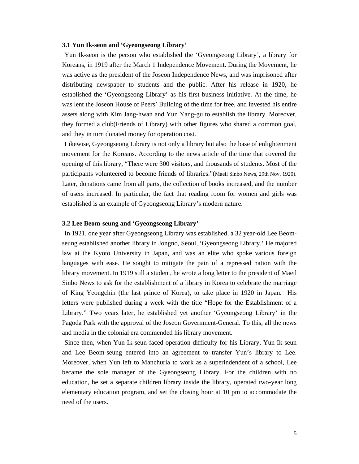#### **3.1 Yun Ik-seon and 'Gyeongseong Library'**

Yun Ik-seon is the person who established the 'Gyeongseong Library', a library for Koreans, in 1919 after the March 1 Independence Movement. During the Movement, he was active as the president of the Joseon Independence News, and was imprisoned after distributing newspaper to students and the public. After his release in 1920, he established the 'Gyeongseong Library' as his first business initiative. At the time, he was lent the Joseon House of Peers' Building of the time for free, and invested his entire assets along with Kim Jang-hwan and Yun Yang-gu to establish the library. Moreover, they formed a club(Friends of Library) with other figures who shared a common goal, and they in turn donated money for operation cost.

Likewise, Gyeongseong Library is not only a library but also the base of enlightenment movement for the Koreans. According to the news article of the time that covered the opening of this library, "There were 300 visitors, and thousands of students. Most of the participants volunteered to become friends of libraries."(Maeil Sinbo News, 29th Nov. 1920). Later, donations came from all parts, the collection of books increased, and the number of users increased. In particular, the fact that reading room for women and girls was established is an example of Gyeongseong Library's modern nature.

#### **3.2 Lee Beom-seung and 'Gyeongseong Library'**

In 1921, one year after Gyeongseong Library was established, a 32 year-old Lee Beomseung established another library in Jongno, Seoul, 'Gyeongseong Library.' He majored law at the Kyoto University in Japan, and was an elite who spoke various foreign languages with ease. He sought to mitigate the pain of a repressed nation with the library movement. In 1919 still a student, he wrote a long letter to the president of Maeil Sinbo News to ask for the establishment of a library in Korea to celebrate the marriage of King Yeongchin (the last prince of Korea), to take place in 1920 in Japan. His letters were published during a week with the title "Hope for the Establishment of a Library." Two years later, he established yet another 'Gyeongseong Library' in the Pagoda Park with the approval of the Joseon Government-General. To this, all the news and media in the colonial era commended his library movement.

Since then, when Yun Ik-seun faced operation difficulty for his Library, Yun Ik-seun and Lee Beom-seung entered into an agreement to transfer Yun's library to Lee. Moreover, when Yun left to Manchuria to work as a superindendent of a school, Lee became the sole manager of the Gyeongseong Library. For the children with no education, he set a separate children library inside the library, operated two-year long elementary education program, and set the closing hour at 10 pm to accommodate the need of the users.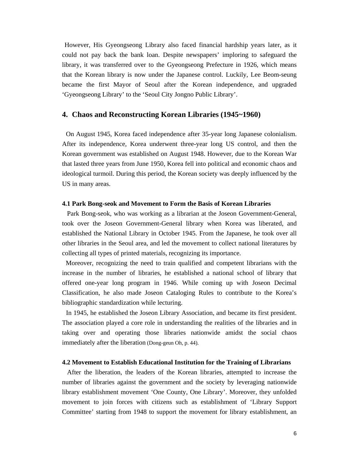However, His Gyeongseong Library also faced financial hardship years later, as it could not pay back the bank loan. Despite newspapers' imploring to safeguard the library, it was transferred over to the Gyeongseong Prefecture in 1926, which means that the Korean library is now under the Japanese control. Luckily, Lee Beom-seung became the first Mayor of Seoul after the Korean independence, and upgraded 'Gyeongseong Library' to the 'Seoul City Jongno Public Library'.

## **4. Chaos and Reconstructing Korean Libraries (1945~1960)**

On August 1945, Korea faced independence after 35-year long Japanese colonialism. After its independence, Korea underwent three-year long US control, and then the Korean government was established on August 1948. However, due to the Korean War that lasted three years from June 1950, Korea fell into political and economic chaos and ideological turmoil. During this period, the Korean society was deeply influenced by the US in many areas.

#### **4.1 Park Bong-seok and Movement to Form the Basis of Korean Libraries**

Park Bong-seok, who was working as a librarian at the Joseon Government-General, took over the Joseon Government-General library when Korea was liberated, and established the National Library in October 1945. From the Japanese, he took over all other libraries in the Seoul area, and led the movement to collect national literatures by collecting all types of printed materials, recognizing its importance.

Moreover, recognizing the need to train qualified and competent librarians with the increase in the number of libraries, he established a national school of library that offered one-year long program in 1946. While coming up with Joseon Decimal Classification, he also made Joseon Cataloging Rules to contribute to the Korea's bibliographic standardization while lecturing.

In 1945, he established the Joseon Library Association, and became its first president. The association played a core role in understanding the realities of the libraries and in taking over and operating those libraries nationwide amidst the social chaos immediately after the liberation (Dong-geun Oh, p. 44).

#### **4.2 Movement to Establish Educational Institution for the Training of Librarians**

After the liberation, the leaders of the Korean libraries, attempted to increase the number of libraries against the government and the society by leveraging nationwide library establishment movement 'One County, One Library'. Moreover, they unfolded movement to join forces with citizens such as establishment of 'Library Support Committee' starting from 1948 to support the movement for library establishment, an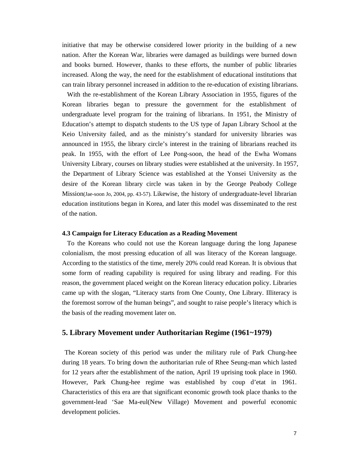initiative that may be otherwise considered lower priority in the building of a new nation. After the Korean War, libraries were damaged as buildings were burned down and books burned. However, thanks to these efforts, the number of public libraries increased. Along the way, the need for the establishment of educational institutions that can train library personnel increased in addition to the re-education of existing librarians.

With the re-establishment of the Korean Library Association in 1955, figures of the Korean libraries began to pressure the government for the establishment of undergraduate level program for the training of librarians. In 1951, the Ministry of Education's attempt to dispatch students to the US type of Japan Library School at the Keio University failed, and as the ministry's standard for university libraries was announced in 1955, the library circle's interest in the training of librarians reached its peak. In 1955, with the effort of Lee Pong-soon, the head of the Ewha Womans University Library, courses on library studies were established at the university. In 1957, the Department of Library Science was established at the Yonsei University as the desire of the Korean library circle was taken in by the George Peabody College Mission(Jae-soon Jo, 2004, pp. 43-57). Likewise, the history of undergraduate-level librarian education institutions began in Korea, and later this model was disseminated to the rest of the nation.

#### **4.3 Campaign for Literacy Education as a Reading Movement**

To the Koreans who could not use the Korean language during the long Japanese colonialism, the most pressing education of all was literacy of the Korean language. According to the statistics of the time, merely 20% could read Korean. It is obvious that some form of reading capability is required for using library and reading. For this reason, the government placed weight on the Korean literacy education policy. Libraries came up with the slogan, "Literacy starts from One County, One Library. Illiteracy is the foremost sorrow of the human beings", and sought to raise people's literacy which is the basis of the reading movement later on.

## **5. Library Movement under Authoritarian Regime (1961~1979)**

The Korean society of this period was under the military rule of Park Chung-hee during 18 years. To bring down the authoritarian rule of Rhee Seung-man which lasted for 12 years after the establishment of the nation, April 19 uprising took place in 1960. However, Park Chung-hee regime was established by coup d'etat in 1961. Characteristics of this era are that significant economic growth took place thanks to the government-lead 'Sae Ma-eul(New Village) Movement and powerful economic development policies.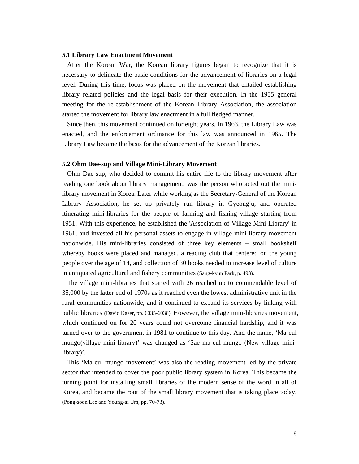#### **5.1 Library Law Enactment Movement**

After the Korean War, the Korean library figures began to recognize that it is necessary to delineate the basic conditions for the advancement of libraries on a legal level. During this time, focus was placed on the movement that entailed establishing library related policies and the legal basis for their execution. In the 1955 general meeting for the re-establishment of the Korean Library Association, the association started the movement for library law enactment in a full fledged manner.

Since then, this movement continued on for eight years. In 1963, the Library Law was enacted, and the enforcement ordinance for this law was announced in 1965. The Library Law became the basis for the advancement of the Korean libraries.

#### **5.2 Ohm Dae-sup and Village Mini-Library Movement**

Ohm Dae-sup, who decided to commit his entire life to the library movement after reading one book about library management, was the person who acted out the minilibrary movement in Korea. Later while working as the Secretary-General of the Korean Library Association, he set up privately run library in Gyeongju, and operated itinerating mini-libraries for the people of farming and fishing village starting from 1951. With this experience, he established the 'Association of Village Mini-Library' in 1961, and invested all his personal assets to engage in village mini-library movement nationwide. His mini-libraries consisted of three key elements – small bookshelf whereby books were placed and managed, a reading club that centered on the young people over the age of 14, and collection of 30 books needed to increase level of culture in antiquated agricultural and fishery communities (Sang-kyun Park, p. 493).

The village mini-libraries that started with 26 reached up to commendable level of 35,000 by the latter end of 1970s as it reached even the lowest administrative unit in the rural communities nationwide, and it continued to expand its services by linking with public libraries (David Kaser, pp. 6035-6038). However, the village mini-libraries movement, which continued on for 20 years could not overcome financial hardship, and it was turned over to the government in 1981 to continue to this day. And the name, 'Ma-eul mungo(village mini-library)' was changed as 'Sae ma-eul mungo (New village minilibrary)'.

This 'Ma-eul mungo movement' was also the reading movement led by the private sector that intended to cover the poor public library system in Korea. This became the turning point for installing small libraries of the modern sense of the word in all of Korea, and became the root of the small library movement that is taking place today. (Pong-soon Lee and Young-ai Um, pp. 70-73).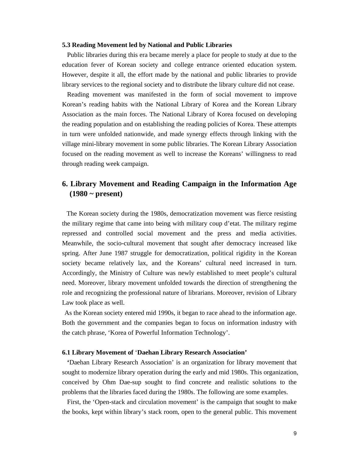#### **5.3 Reading Movement led by National and Public Libraries**

Public libraries during this era became merely a place for people to study at due to the education fever of Korean society and college entrance oriented education system. However, despite it all, the effort made by the national and public libraries to provide library services to the regional society and to distribute the library culture did not cease.

Reading movement was manifested in the form of social movement to improve Korean's reading habits with the National Library of Korea and the Korean Library Association as the main forces. The National Library of Korea focused on developing the reading population and on establishing the reading policies of Korea. These attempts in turn were unfolded nationwide, and made synergy effects through linking with the village mini-library movement in some public libraries. The Korean Library Association focused on the reading movement as well to increase the Koreans' willingness to read through reading week campaign.

# **6. Library Movement and Reading Campaign in the Information Age (1980 ~ present)**

The Korean society during the 1980s, democratization movement was fierce resisting the military regime that came into being with military coup d'etat. The military regime repressed and controlled social movement and the press and media activities. Meanwhile, the socio-cultural movement that sought after democracy increased like spring. After June 1987 struggle for democratization, political rigidity in the Korean society became relatively lax, and the Koreans' cultural need increased in turn. Accordingly, the Ministry of Culture was newly established to meet people's cultural need. Moreover, library movement unfolded towards the direction of strengthening the role and recognizing the professional nature of librarians. Moreover, revision of Library Law took place as well.

As the Korean society entered mid 1990s, it began to race ahead to the information age. Both the government and the companies began to focus on information industry with the catch phrase, 'Korea of Powerful Information Technology'.

#### **6.1 Library Movement of** '**Daehan Library Research Association'**

**'**Daehan Library Research Association' is an organization for library movement that sought to modernize library operation during the early and mid 1980s. This organization, conceived by Ohm Dae-sup sought to find concrete and realistic solutions to the problems that the libraries faced during the 1980s. The following are some examples.

First, the 'Open-stack and circulation movement' is the campaign that sought to make the books, kept within library's stack room, open to the general public. This movement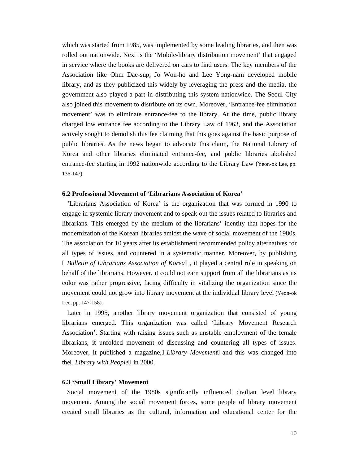which was started from 1985, was implemented by some leading libraries, and then was rolled out nationwide. Next is the 'Mobile-library distribution movement' that engaged in service where the books are delivered on cars to find users. The key members of the Association like Ohm Dae-sup, Jo Won-ho and Lee Yong-nam developed mobile library, and as they publicized this widely by leveraging the press and the media, the government also played a part in distributing this system nationwide. The Seoul City also joined this movement to distribute on its own. Moreover, 'Entrance-fee elimination movement' was to eliminate entrance-fee to the library. At the time, public library charged low entrance fee according to the Library Law of 1963, and the Association actively sought to demolish this fee claiming that this goes against the basic purpose of public libraries. As the news began to advocate this claim, the National Library of Korea and other libraries eliminated entrance-fee, and public libraries abolished entrance-fee starting in 1992 nationwide according to the Library Law (Yeon-ok Lee, pp. 136-147).

## **6.2 Professional Movement of 'Librarians Association of Korea'**

'Librarians Association of Korea' is the organization that was formed in 1990 to engage in systemic library movement and to speak out the issues related to libraries and librarians. This emerged by the medium of the librarians' identity that hopes for the modernization of the Korean libraries amidst the wave of social movement of the 1980s. The association for 10 years after its establishment recommended policy alternatives for all types of issues, and countered in a systematic manner. Moreover, by publishing

*Bulletin of Librarians Association of Korea* , it played a central role in speaking on behalf of the librarians. However, it could not earn support from all the librarians as its color was rather progressive, facing difficulty in vitalizing the organization since the movement could not grow into library movement at the individual library level (Yeon-ok Lee, pp. 147-158).

Later in 1995, another library movement organization that consisted of young librarians emerged. This organization was called 'Library Movement Research Association'. Starting with raising issues such as unstable employment of the female librarians, it unfolded movement of discussing and countering all types of issues. Moreover, it published a magazine, *Library Movement* and this was changed into the *Library with People* in 2000.

#### **6.3 'Small Library' Movement**

Social movement of the 1980s significantly influenced civilian level library movement. Among the social movement forces, some people of library movement created small libraries as the cultural, information and educational center for the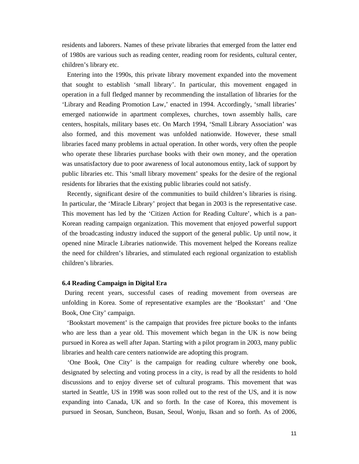residents and laborers. Names of these private libraries that emerged from the latter end of 1980s are various such as reading center, reading room for residents, cultural center, children's library etc.

Entering into the 1990s, this private library movement expanded into the movement that sought to establish 'small library'. In particular, this movement engaged in operation in a full fledged manner by recommending the installation of libraries for the 'Library and Reading Promotion Law,' enacted in 1994. Accordingly, 'small libraries' emerged nationwide in apartment complexes, churches, town assembly halls, care centers, hospitals, military bases etc. On March 1994, 'Small Library Association' was also formed, and this movement was unfolded nationwide. However, these small libraries faced many problems in actual operation. In other words, very often the people who operate these libraries purchase books with their own money, and the operation was unsatisfactory due to poor awareness of local autonomous entity, lack of support by public libraries etc. This 'small library movement' speaks for the desire of the regional residents for libraries that the existing public libraries could not satisfy.

Recently, significant desire of the communities to build children's libraries is rising. In particular, the 'Miracle Library' project that began in 2003 is the representative case. This movement has led by the 'Citizen Action for Reading Culture', which is a pan-Korean reading campaign organization. This movement that enjoyed powerful support of the broadcasting industry induced the support of the general public. Up until now, it opened nine Miracle Libraries nationwide. This movement helped the Koreans realize the need for children's libraries, and stimulated each regional organization to establish children's libraries.

## **6.4 Reading Campaign in Digital Era**

During recent years, successful cases of reading movement from overseas are unfolding in Korea. Some of representative examples are the 'Bookstart' and 'One Book, One City' campaign.

'Bookstart movement' is the campaign that provides free picture books to the infants who are less than a year old. This movement which began in the UK is now being pursued in Korea as well after Japan. Starting with a pilot program in 2003, many public libraries and health care centers nationwide are adopting this program.

'One Book, One City' is the campaign for reading culture whereby one book, designated by selecting and voting process in a city, is read by all the residents to hold discussions and to enjoy diverse set of cultural programs. This movement that was started in Seattle, US in 1998 was soon rolled out to the rest of the US, and it is now expanding into Canada, UK and so forth. In the case of Korea, this movement is pursued in Seosan, Suncheon, Busan, Seoul, Wonju, Iksan and so forth. As of 2006,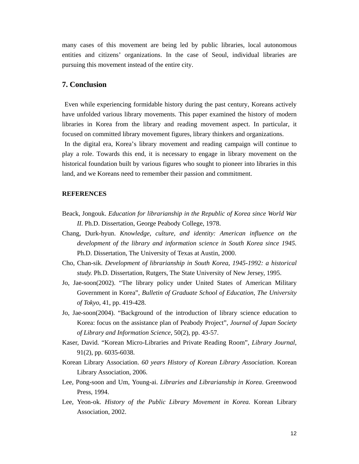many cases of this movement are being led by public libraries, local autonomous entities and citizens' organizations. In the case of Seoul, individual libraries are pursuing this movement instead of the entire city.

## **7. Conclusion**

Even while experiencing formidable history during the past century, Koreans actively have unfolded various library movements. This paper examined the history of modern libraries in Korea from the library and reading movement aspect. In particular, it focused on committed library movement figures, library thinkers and organizations.

In the digital era, Korea's library movement and reading campaign will continue to play a role. Towards this end, it is necessary to engage in library movement on the historical foundation built by various figures who sought to pioneer into libraries in this land, and we Koreans need to remember their passion and commitment.

## **REFERENCES**

- Beack, Jongouk. *Education for librarianship in the Republic of Korea since World War II.* Ph.D. Dissertation, George Peabody College, 1978.
- Chang, Durk-hyun. *Knowledge, culture, and identity: American influence on the development of the library and information science in South Korea since 1945.*  Ph.D. Dissertation, The University of Texas at Austin, 2000.
- Cho, Chan-sik. *Development of librarianship in South Korea, 1945-1992: a historical study.* Ph.D. Dissertation, Rutgers, The State University of New Jersey, 1995.
- Jo, Jae-soon(2002). "The library policy under United States of American Military Government in Korea", *Bulletin of Graduate School of Education*, *The University of Tokyo*, 41, pp. 419-428.
- Jo, Jae-soon(2004). "Background of the introduction of library science education to Korea: focus on the assistance plan of Peabody Project", *Journal of Japan Society of Library and Information Science*, 50(2), pp. 43-57.
- Kaser, David. "Korean Micro-Libraries and Private Reading Room", *Library Journal*, 91(2), pp. 6035-6038.
- Korean Library Association. *60 years History of Korean Library Association*. Korean Library Association, 2006.
- Lee, Pong-soon and Um, Young-ai. *Libraries and Librarianship in Korea*. Greenwood Press, 1994.
- Lee, Yeon-ok. *History of the Public Library Movement in Korea.* Korean Library Association, 2002.